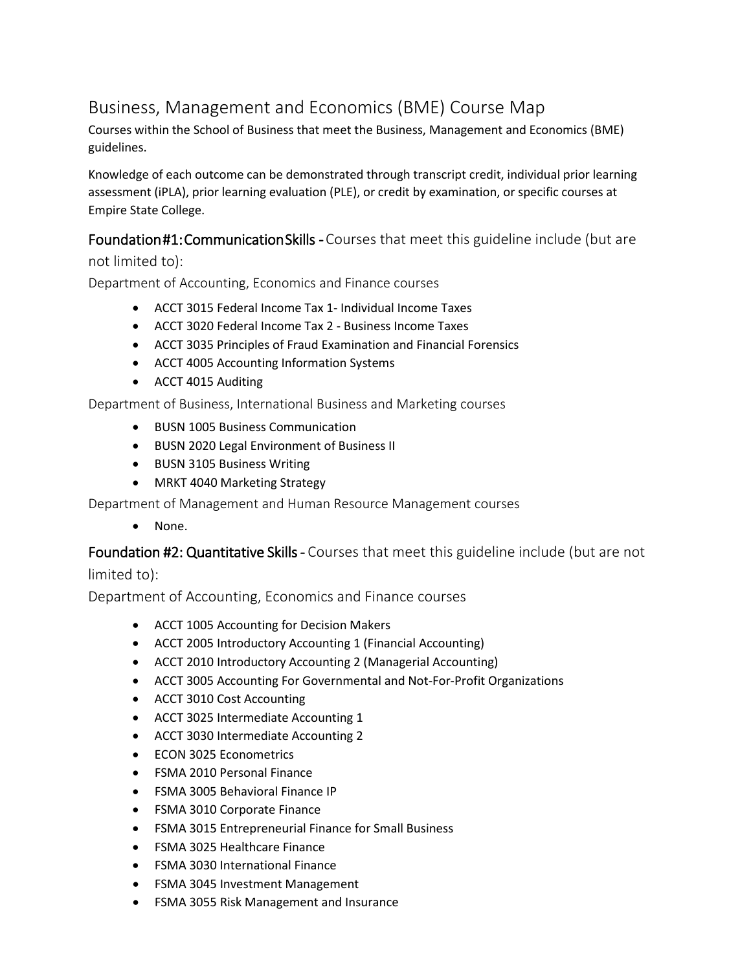# Business, Management and Economics (BME) Course Map

Courses within the School of Business that meet the Business, Management and Economics (BME) guidelines.

Knowledge of each outcome can be demonstrated through transcript credit, individual prior learning assessment (iPLA), prior learning evaluation (PLE), or credit by examination, or specific courses at Empire State College.

## Foundation #1: Communication Skills - Courses that meet this guideline include (but are

not limited to):

Department of Accounting, Economics and Finance courses

- ACCT 3015 Federal Income Tax 1- Individual Income Taxes
- ACCT 3020 Federal Income Tax 2 Business Income Taxes
- ACCT 3035 Principles of Fraud Examination and Financial Forensics
- ACCT 4005 Accounting Information Systems
- ACCT 4015 Auditing

Department of Business, International Business and Marketing courses

- BUSN 1005 Business Communication
- BUSN 2020 Legal Environment of Business II
- BUSN 3105 Business Writing
- MRKT 4040 Marketing Strategy

Department of Management and Human Resource Management courses

• None.

Foundation #2: Quantitative Skills - Courses that meet this guideline include (but are not limited to):

Department of Accounting, Economics and Finance courses

- ACCT 1005 Accounting for Decision Makers
- ACCT 2005 Introductory Accounting 1 (Financial Accounting)
- ACCT 2010 Introductory Accounting 2 (Managerial Accounting)
- ACCT 3005 Accounting For Governmental and Not-For-Profit Organizations
- ACCT 3010 Cost Accounting
- ACCT 3025 Intermediate Accounting 1
- ACCT 3030 Intermediate Accounting 2
- ECON 3025 Econometrics
- FSMA 2010 Personal Finance
- FSMA 3005 Behavioral Finance IP
- FSMA 3010 Corporate Finance
- FSMA 3015 Entrepreneurial Finance for Small Business
- FSMA 3025 Healthcare Finance
- FSMA 3030 International Finance
- FSMA 3045 Investment Management
- FSMA 3055 Risk Management and Insurance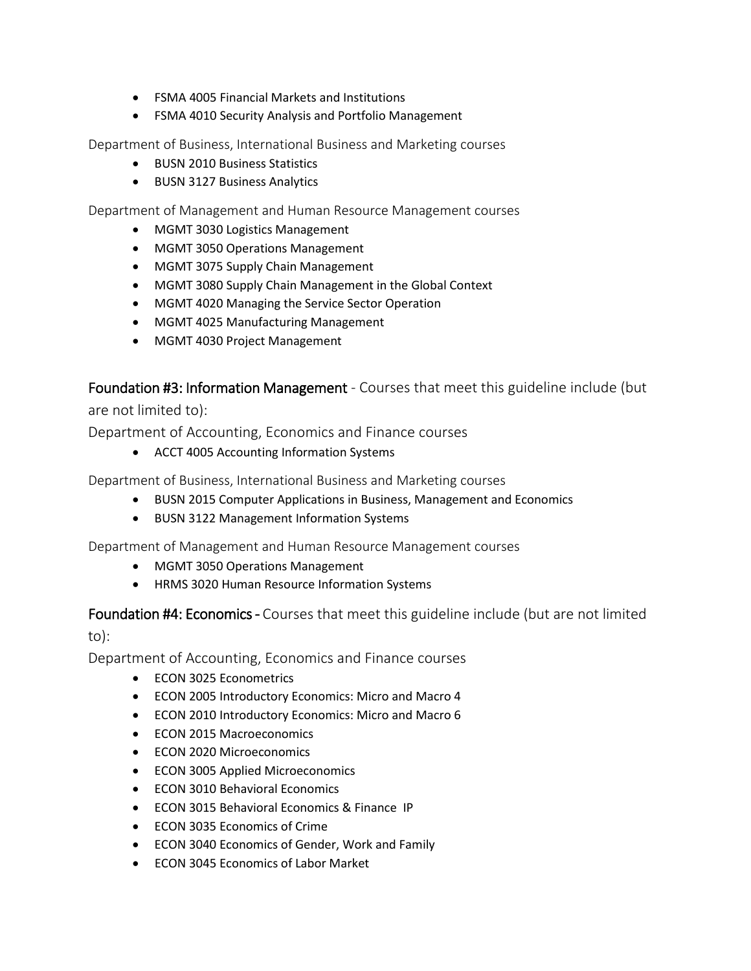- FSMA 4005 Financial Markets and Institutions
- FSMA 4010 Security Analysis and Portfolio Management

Department of Business, International Business and Marketing courses

- BUSN 2010 Business Statistics
- BUSN 3127 Business Analytics

Department of Management and Human Resource Management courses

- MGMT 3030 Logistics Management
- MGMT 3050 Operations Management
- MGMT 3075 Supply Chain Management
- MGMT 3080 Supply Chain Management in the Global Context
- MGMT 4020 Managing the Service Sector Operation
- MGMT 4025 Manufacturing Management
- MGMT 4030 Project Management

Foundation #3: Information Management - Courses that meet this guideline include (but are not limited to):

Department of Accounting, Economics and Finance courses

• ACCT 4005 Accounting Information Systems

Department of Business, International Business and Marketing courses

- BUSN 2015 Computer Applications in Business, Management and Economics
- BUSN 3122 Management Information Systems

Department of Management and Human Resource Management courses

- MGMT 3050 Operations Management
- HRMS 3020 Human Resource Information Systems

Foundation #4: Economics - Courses that meet this guideline include (but are not limited to):

Department of Accounting, Economics and Finance courses

- ECON 3025 Econometrics
- ECON 2005 Introductory Economics: Micro and Macro 4
- ECON 2010 Introductory Economics: Micro and Macro 6
- ECON 2015 Macroeconomics
- ECON 2020 Microeconomics
- ECON 3005 Applied Microeconomics
- ECON 3010 Behavioral Economics
- ECON 3015 Behavioral Economics & Finance IP
- ECON 3035 Economics of Crime
- ECON 3040 Economics of Gender, Work and Family
- ECON 3045 Economics of Labor Market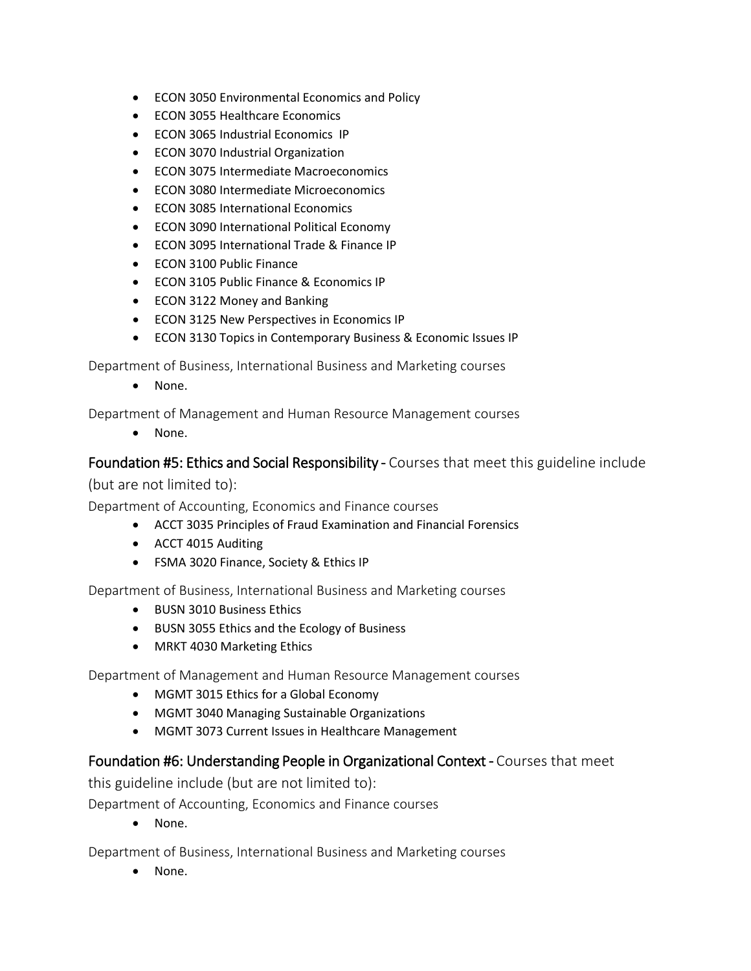- ECON 3050 Environmental Economics and Policy
- ECON 3055 Healthcare Economics
- ECON 3065 Industrial Economics IP
- ECON 3070 Industrial Organization
- ECON 3075 Intermediate Macroeconomics
- ECON 3080 Intermediate Microeconomics
- ECON 3085 International Economics
- ECON 3090 International Political Economy
- ECON 3095 International Trade & Finance IP
- ECON 3100 Public Finance
- ECON 3105 Public Finance & Economics IP
- ECON 3122 Money and Banking
- ECON 3125 New Perspectives in Economics IP
- ECON 3130 Topics in Contemporary Business & Economic Issues IP

Department of Business, International Business and Marketing courses

• None.

Department of Management and Human Resource Management courses

• None.

#### Foundation #5: Ethics and Social Responsibility - Courses that meet this guideline include

(but are not limited to):

Department of Accounting, Economics and Finance courses

- ACCT 3035 Principles of Fraud Examination and Financial Forensics
- ACCT 4015 Auditing
- FSMA 3020 Finance, Society & Ethics IP

Department of Business, International Business and Marketing courses

- BUSN 3010 Business Ethics
- BUSN 3055 Ethics and the Ecology of Business
- MRKT 4030 Marketing Ethics

Department of Management and Human Resource Management courses

- MGMT 3015 Ethics for a Global Economy
- MGMT 3040 Managing Sustainable Organizations
- MGMT 3073 Current Issues in Healthcare Management

#### Foundation #6: Understanding People in Organizational Context - Courses that meet

this guideline include (but are not limited to):

Department of Accounting, Economics and Finance courses

• None.

Department of Business, International Business and Marketing courses

• None.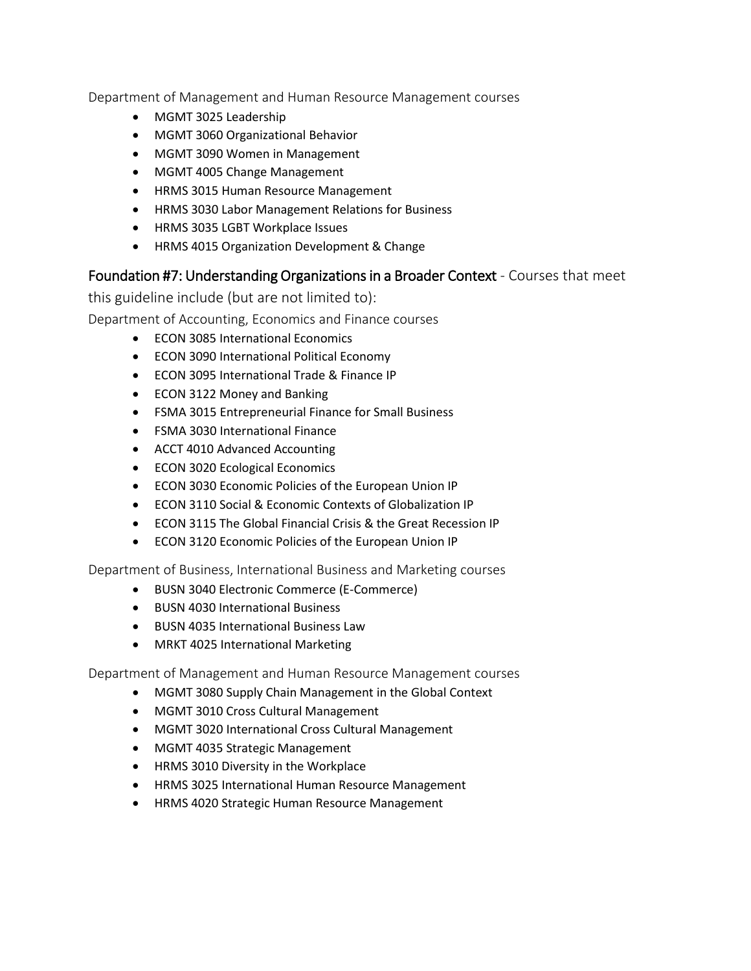Department of Management and Human Resource Management courses

- MGMT 3025 Leadership
- MGMT 3060 Organizational Behavior
- MGMT 3090 Women in Management
- MGMT 4005 Change Management
- HRMS 3015 Human Resource Management
- HRMS 3030 Labor Management Relations for Business
- HRMS 3035 LGBT Workplace Issues
- HRMS 4015 Organization Development & Change

### Foundation #7: Understanding Organizations in a Broader Context - Courses that meet

this guideline include (but are not limited to):

Department of Accounting, Economics and Finance courses

- ECON 3085 International Economics
- ECON 3090 International Political Economy
- ECON 3095 International Trade & Finance IP
- ECON 3122 Money and Banking
- FSMA 3015 Entrepreneurial Finance for Small Business
- FSMA 3030 International Finance
- ACCT 4010 Advanced Accounting
- ECON 3020 Ecological Economics
- ECON 3030 Economic Policies of the European Union IP
- ECON 3110 Social & Economic Contexts of Globalization IP
- ECON 3115 The Global Financial Crisis & the Great Recession IP
- ECON 3120 Economic Policies of the European Union IP

Department of Business, International Business and Marketing courses

- BUSN 3040 Electronic Commerce (E-Commerce)
- BUSN 4030 International Business
- BUSN 4035 International Business Law
- MRKT 4025 International Marketing

Department of Management and Human Resource Management courses

- MGMT 3080 Supply Chain Management in the Global Context
- MGMT 3010 Cross Cultural Management
- MGMT 3020 International Cross Cultural Management
- MGMT 4035 Strategic Management
- HRMS 3010 Diversity in the Workplace
- HRMS 3025 International Human Resource Management
- HRMS 4020 Strategic Human Resource Management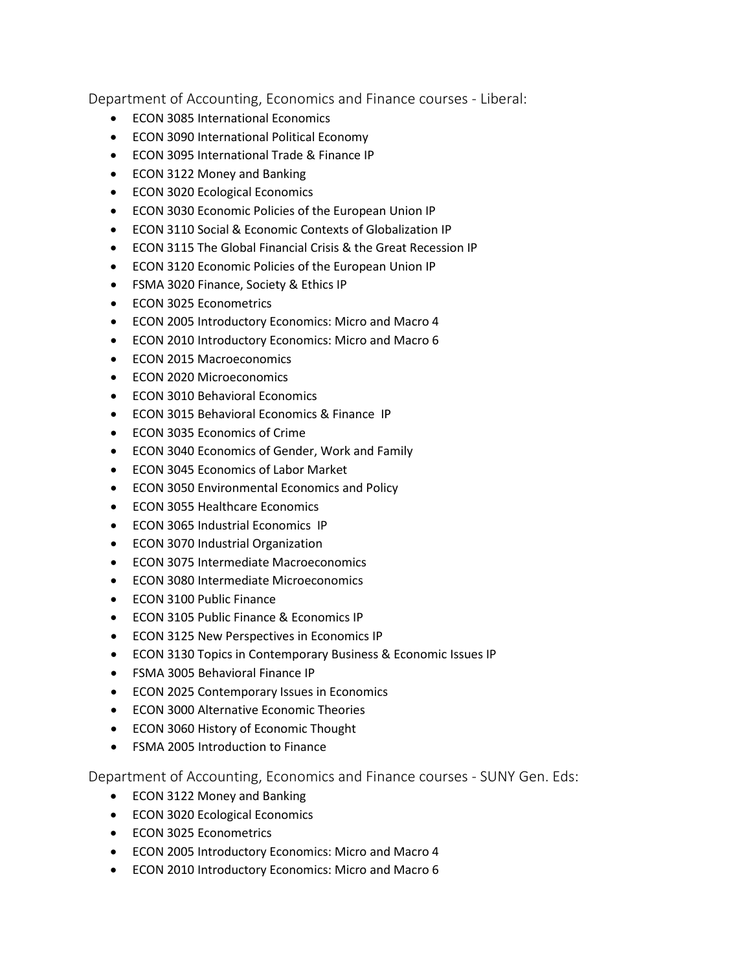Department of Accounting, Economics and Finance courses - Liberal:

- ECON 3085 International Economics
- ECON 3090 International Political Economy
- ECON 3095 International Trade & Finance IP
- ECON 3122 Money and Banking
- ECON 3020 Ecological Economics
- ECON 3030 Economic Policies of the European Union IP
- ECON 3110 Social & Economic Contexts of Globalization IP
- ECON 3115 The Global Financial Crisis & the Great Recession IP
- ECON 3120 Economic Policies of the European Union IP
- FSMA 3020 Finance, Society & Ethics IP
- ECON 3025 Econometrics
- ECON 2005 Introductory Economics: Micro and Macro 4
- ECON 2010 Introductory Economics: Micro and Macro 6
- ECON 2015 Macroeconomics
- ECON 2020 Microeconomics
- ECON 3010 Behavioral Economics
- ECON 3015 Behavioral Economics & Finance IP
- ECON 3035 Economics of Crime
- ECON 3040 Economics of Gender, Work and Family
- ECON 3045 Economics of Labor Market
- ECON 3050 Environmental Economics and Policy
- ECON 3055 Healthcare Economics
- ECON 3065 Industrial Economics IP
- ECON 3070 Industrial Organization
- ECON 3075 Intermediate Macroeconomics
- ECON 3080 Intermediate Microeconomics
- ECON 3100 Public Finance
- ECON 3105 Public Finance & Economics IP
- ECON 3125 New Perspectives in Economics IP
- ECON 3130 Topics in Contemporary Business & Economic Issues IP
- FSMA 3005 Behavioral Finance IP
- ECON 2025 Contemporary Issues in Economics
- ECON 3000 Alternative Economic Theories
- ECON 3060 History of Economic Thought
- FSMA 2005 Introduction to Finance

Department of Accounting, Economics and Finance courses - SUNY Gen. Eds:

- ECON 3122 Money and Banking
- ECON 3020 Ecological Economics
- ECON 3025 Econometrics
- ECON 2005 Introductory Economics: Micro and Macro 4
- ECON 2010 Introductory Economics: Micro and Macro 6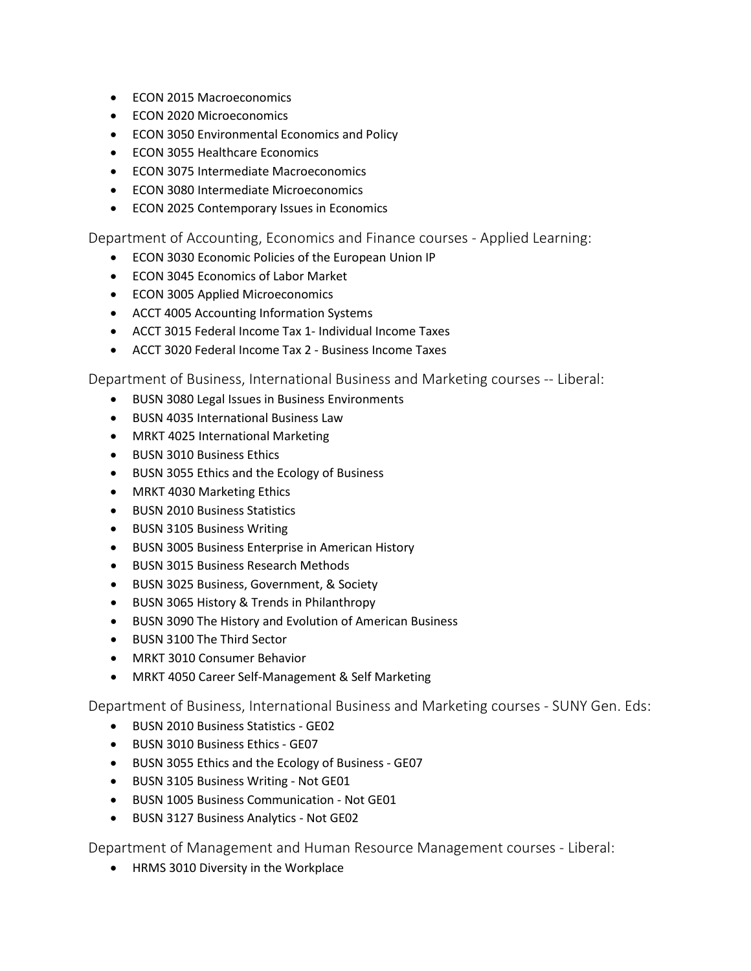- ECON 2015 Macroeconomics
- ECON 2020 Microeconomics
- ECON 3050 Environmental Economics and Policy
- ECON 3055 Healthcare Economics
- ECON 3075 Intermediate Macroeconomics
- ECON 3080 Intermediate Microeconomics
- ECON 2025 Contemporary Issues in Economics

Department of Accounting, Economics and Finance courses - Applied Learning:

- ECON 3030 Economic Policies of the European Union IP
- ECON 3045 Economics of Labor Market
- ECON 3005 Applied Microeconomics
- ACCT 4005 Accounting Information Systems
- ACCT 3015 Federal Income Tax 1- Individual Income Taxes
- ACCT 3020 Federal Income Tax 2 Business Income Taxes

Department of Business, International Business and Marketing courses -- Liberal:

- BUSN 3080 Legal Issues in Business Environments
- BUSN 4035 International Business Law
- MRKT 4025 International Marketing
- BUSN 3010 Business Ethics
- BUSN 3055 Ethics and the Ecology of Business
- MRKT 4030 Marketing Ethics
- BUSN 2010 Business Statistics
- BUSN 3105 Business Writing
- BUSN 3005 Business Enterprise in American History
- BUSN 3015 Business Research Methods
- BUSN 3025 Business, Government, & Society
- BUSN 3065 History & Trends in Philanthropy
- BUSN 3090 The History and Evolution of American Business
- BUSN 3100 The Third Sector
- MRKT 3010 Consumer Behavior
- MRKT 4050 Career Self-Management & Self Marketing

Department of Business, International Business and Marketing courses - SUNY Gen. Eds:

- BUSN 2010 Business Statistics GE02
- BUSN 3010 Business Ethics GE07
- BUSN 3055 Ethics and the Ecology of Business GE07
- BUSN 3105 Business Writing Not GE01
- BUSN 1005 Business Communication Not GE01
- BUSN 3127 Business Analytics Not GE02

Department of Management and Human Resource Management courses - Liberal:

• HRMS 3010 Diversity in the Workplace